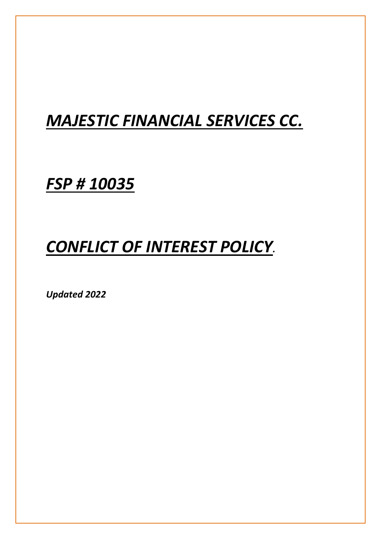## *MAJESTIC FINANCIAL SERVICES CC.*

*FSP # 10035*

# *CONFLICT OF INTEREST POLICY.*

*Updated 2022*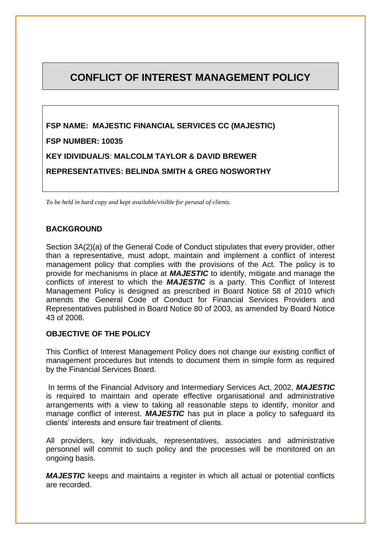## **CONFLICT OF INTEREST MANAGEMENT POLICY**

**FSP NAME: MAJESTIC FINANCIAL SERVICES CC (MAJESTIC) FSP NUMBER: 10035 KEY IDIVIDUAL/S**: **MALCOLM TAYLOR & DAVID BREWER REPRESENTATIVES: BELINDA SMITH & GREG NOSWORTHY**

*To be held in hard copy and kept available/visible for perusal of clients.*

#### **BACKGROUND**

Section 3A(2)(a) of the General Code of Conduct stipulates that every provider, other than a representative, must adopt, maintain and implement a conflict of interest management policy that complies with the provisions of the Act. The policy is to provide for mechanisms in place at *MAJESTIC* to identify, mitigate and manage the conflicts of interest to which the *MAJESTIC* is a party. This Conflict of Interest Management Policy is designed as prescribed in Board Notice 58 of 2010 which amends the General Code of Conduct for Financial Services Providers and Representatives published in Board Notice 80 of 2003, as amended by Board Notice 43 of 2008.

### **OBJECTIVE OF THE POLICY**

This Conflict of Interest Management Policy does not change our existing conflict of management procedures but intends to document them in simple form as required by the Financial Services Board.

In terms of the Financial Advisory and Intermediary Services Act, 2002, *MAJESTIC* is required to maintain and operate effective organisational and administrative arrangements with a view to taking all reasonable steps to identify, monitor and manage conflict of interest. *MAJESTIC* has put in place a policy to safeguard its clients' interests and ensure fair treatment of clients.

All providers, key individuals, representatives, associates and administrative personnel will commit to such policy and the processes will be monitored on an ongoing basis.

*MAJESTIC* keeps and maintains a register in which all actual or potential conflicts are recorded.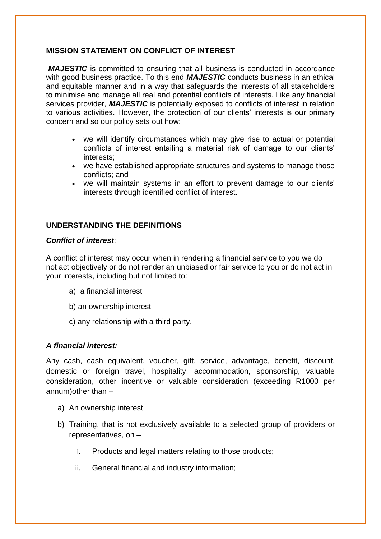## **MISSION STATEMENT ON CONFLICT OF INTEREST**

*MAJESTIC* is committed to ensuring that all business is conducted in accordance with good business practice. To this end *MAJESTIC* conducts business in an ethical and equitable manner and in a way that safeguards the interests of all stakeholders to minimise and manage all real and potential conflicts of interests. Like any financial services provider, *MAJESTIC* is potentially exposed to conflicts of interest in relation to various activities. However, the protection of our clients' interests is our primary concern and so our policy sets out how:

- we will identify circumstances which may give rise to actual or potential conflicts of interest entailing a material risk of damage to our clients' interests;
- we have established appropriate structures and systems to manage those conflicts; and
- we will maintain systems in an effort to prevent damage to our clients' interests through identified conflict of interest.

## **UNDERSTANDING THE DEFINITIONS**

### *Conflict of interest*:

A conflict of interest may occur when in rendering a financial service to you we do not act objectively or do not render an unbiased or fair service to you or do not act in your interests, including but not limited to:

- a) a financial interest
- b) an ownership interest
- c) any relationship with a third party.

#### *A financial interest:*

Any cash, cash equivalent, voucher, gift, service, advantage, benefit, discount, domestic or foreign travel, hospitality, accommodation, sponsorship, valuable consideration, other incentive or valuable consideration (exceeding R1000 per annum)other than –

- a) An ownership interest
- b) Training, that is not exclusively available to a selected group of providers or representatives, on –
	- i. Products and legal matters relating to those products;
	- ii. General financial and industry information;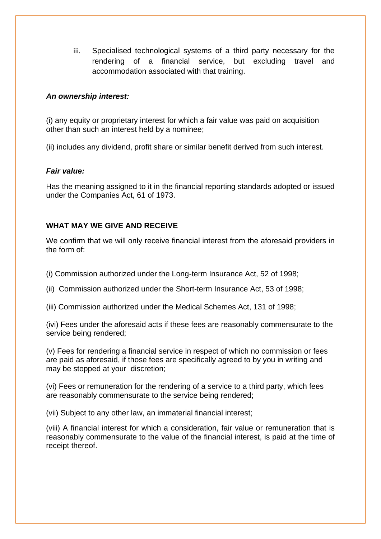iii. Specialised technological systems of a third party necessary for the rendering of a financial service, but excluding travel and accommodation associated with that training.

## *An ownership interest:*

(i) any equity or proprietary interest for which a fair value was paid on acquisition other than such an interest held by a nominee;

(ii) includes any dividend, profit share or similar benefit derived from such interest.

### *Fair value:*

Has the meaning assigned to it in the financial reporting standards adopted or issued under the Companies Act, 61 of 1973.

## **WHAT MAY WE GIVE AND RECEIVE**

We confirm that we will only receive financial interest from the aforesaid providers in the form of:

(i) Commission authorized under the Long-term Insurance Act, 52 of 1998;

(ii) Commission authorized under the Short-term Insurance Act, 53 of 1998;

(iii) Commission authorized under the Medical Schemes Act, 131 of 1998;

(ivi) Fees under the aforesaid acts if these fees are reasonably commensurate to the service being rendered;

(v) Fees for rendering a financial service in respect of which no commission or fees are paid as aforesaid, if those fees are specifically agreed to by you in writing and may be stopped at your discretion;

(vi) Fees or remuneration for the rendering of a service to a third party, which fees are reasonably commensurate to the service being rendered;

(vii) Subject to any other law, an immaterial financial interest;

(viii) A financial interest for which a consideration, fair value or remuneration that is reasonably commensurate to the value of the financial interest, is paid at the time of receipt thereof.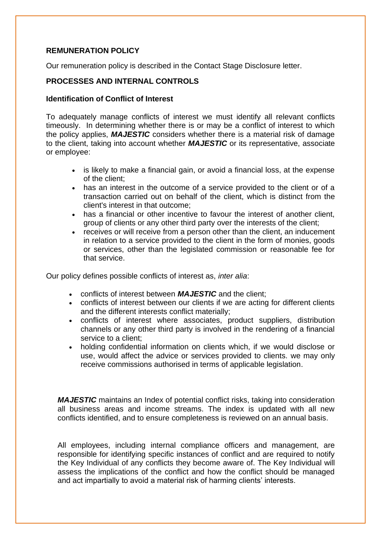### **REMUNERATION POLICY**

Our remuneration policy is described in the Contact Stage Disclosure letter.

## **PROCESSES AND INTERNAL CONTROLS**

#### **Identification of Conflict of Interest**

To adequately manage conflicts of interest we must identify all relevant conflicts timeously. In determining whether there is or may be a conflict of interest to which the policy applies, *MAJESTIC* considers whether there is a material risk of damage to the client, taking into account whether *MAJESTIC* or its representative, associate or employee:

- is likely to make a financial gain, or avoid a financial loss, at the expense of the client;
- has an interest in the outcome of a service provided to the client or of a transaction carried out on behalf of the client, which is distinct from the client's interest in that outcome;
- has a financial or other incentive to favour the interest of another client, group of clients or any other third party over the interests of the client;
- receives or will receive from a person other than the client, an inducement in relation to a service provided to the client in the form of monies, goods or services, other than the legislated commission or reasonable fee for that service.

Our policy defines possible conflicts of interest as, *inter alia*:

- conflicts of interest between *MAJESTIC* and the client;
- conflicts of interest between our clients if we are acting for different clients and the different interests conflict materially;
- conflicts of interest where associates, product suppliers, distribution channels or any other third party is involved in the rendering of a financial service to a client;
- holding confidential information on clients which, if we would disclose or use, would affect the advice or services provided to clients. we may only receive commissions authorised in terms of applicable legislation.

*MAJESTIC* maintains an Index of potential conflict risks, taking into consideration all business areas and income streams. The index is updated with all new conflicts identified, and to ensure completeness is reviewed on an annual basis.

All employees, including internal compliance officers and management, are responsible for identifying specific instances of conflict and are required to notify the Key Individual of any conflicts they become aware of. The Key Individual will assess the implications of the conflict and how the conflict should be managed and act impartially to avoid a material risk of harming clients' interests.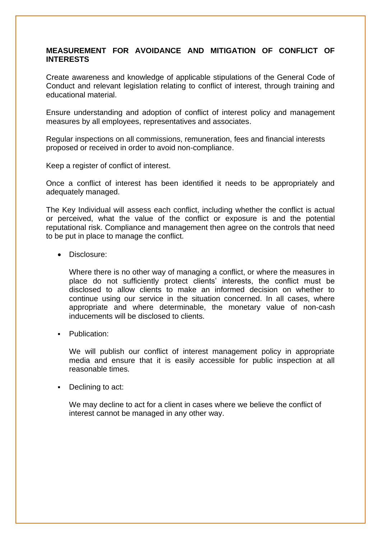## **MEASUREMENT FOR AVOIDANCE AND MITIGATION OF CONFLICT OF INTERESTS**

Create awareness and knowledge of applicable stipulations of the General Code of Conduct and relevant legislation relating to conflict of interest, through training and educational material.

Ensure understanding and adoption of conflict of interest policy and management measures by all employees, representatives and associates.

Regular inspections on all commissions, remuneration, fees and financial interests proposed or received in order to avoid non-compliance.

Keep a register of conflict of interest.

Once a conflict of interest has been identified it needs to be appropriately and adequately managed.

The Key Individual will assess each conflict, including whether the conflict is actual or perceived, what the value of the conflict or exposure is and the potential reputational risk. Compliance and management then agree on the controls that need to be put in place to manage the conflict.

• Disclosure:

Where there is no other way of managing a conflict, or where the measures in place do not sufficiently protect clients' interests, the conflict must be disclosed to allow clients to make an informed decision on whether to continue using our service in the situation concerned. In all cases, where appropriate and where determinable, the monetary value of non-cash inducements will be disclosed to clients.

Publication:

We will publish our conflict of interest management policy in appropriate media and ensure that it is easily accessible for public inspection at all reasonable times.

■ Declining to act:

We may decline to act for a client in cases where we believe the conflict of interest cannot be managed in any other way.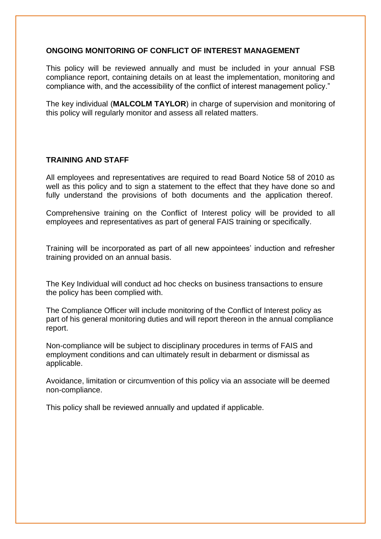#### **ONGOING MONITORING OF CONFLICT OF INTEREST MANAGEMENT**

This policy will be reviewed annually and must be included in your annual FSB compliance report, containing details on at least the implementation, monitoring and compliance with, and the accessibility of the conflict of interest management policy."

The key individual (**MALCOLM TAYLOR**) in charge of supervision and monitoring of this policy will regularly monitor and assess all related matters.

#### **TRAINING AND STAFF**

All employees and representatives are required to read Board Notice 58 of 2010 as well as this policy and to sign a statement to the effect that they have done so and fully understand the provisions of both documents and the application thereof.

Comprehensive training on the Conflict of Interest policy will be provided to all employees and representatives as part of general FAIS training or specifically.

Training will be incorporated as part of all new appointees' induction and refresher training provided on an annual basis.

The Key Individual will conduct ad hoc checks on business transactions to ensure the policy has been complied with.

The Compliance Officer will include monitoring of the Conflict of Interest policy as part of his general monitoring duties and will report thereon in the annual compliance report.

Non-compliance will be subject to disciplinary procedures in terms of FAIS and employment conditions and can ultimately result in debarment or dismissal as applicable.

Avoidance, limitation or circumvention of this policy via an associate will be deemed non-compliance.

This policy shall be reviewed annually and updated if applicable.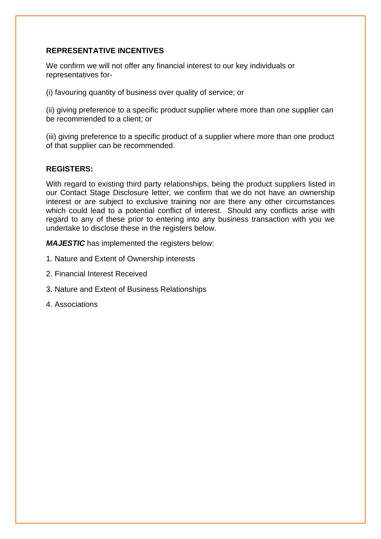### **REPRESENTATIVE INCENTIVES**

We confirm we will not offer any financial interest to our key individuals or representatives for-

(i) favouring quantity of business over quality of service; or

(ii) giving preference to a specific product supplier where more than one supplier can be recommended to a client; or

(iii) giving preference to a specific product of a supplier where more than one product of that supplier can be recommended.

### **REGISTERS:**

With regard to existing third party relationships, being the product suppliers listed in our Contact Stage Disclosure letter, we confirm that we do not have an ownership interest or are subject to exclusive training nor are there any other circumstances which could lead to a potential conflict of interest. Should any conflicts arise with regard to any of these prior to entering into any business transaction with you we undertake to disclose these in the registers below.

*MAJESTIC* has implemented the registers below:

- 1. Nature and Extent of Ownership interests
- 2. Financial Interest Received
- 3. Nature and Extent of Business Relationships
- 4. Associations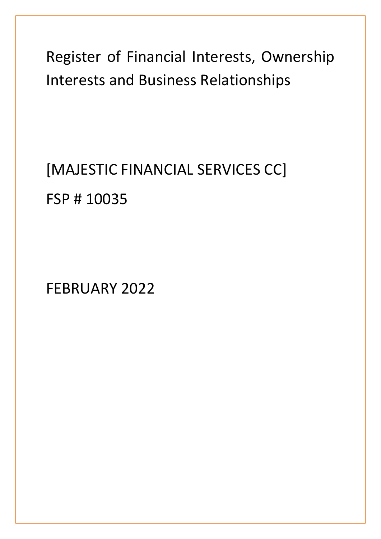Register of Financial Interests, Ownership Interests and Business Relationships

[MAJESTIC FINANCIAL SERVICES CC] FSP # 10035

FEBRUARY 2022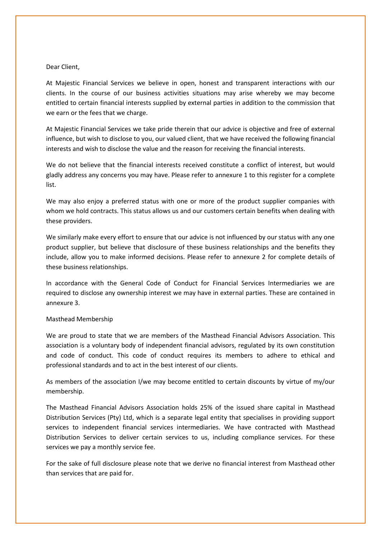#### Dear Client,

At Majestic Financial Services we believe in open, honest and transparent interactions with our clients. In the course of our business activities situations may arise whereby we may become entitled to certain financial interests supplied by external parties in addition to the commission that we earn or the fees that we charge.

At Majestic Financial Services we take pride therein that our advice is objective and free of external influence, but wish to disclose to you, our valued client, that we have received the following financial interests and wish to disclose the value and the reason for receiving the financial interests.

We do not believe that the financial interests received constitute a conflict of interest, but would gladly address any concerns you may have. Please refer to annexure 1 to this register for a complete list.

We may also enjoy a preferred status with one or more of the product supplier companies with whom we hold contracts. This status allows us and our customers certain benefits when dealing with these providers.

We similarly make every effort to ensure that our advice is not influenced by our status with any one product supplier, but believe that disclosure of these business relationships and the benefits they include, allow you to make informed decisions. Please refer to annexure 2 for complete details of these business relationships.

In accordance with the General Code of Conduct for Financial Services Intermediaries we are required to disclose any ownership interest we may have in external parties. These are contained in annexure 3.

#### Masthead Membership

We are proud to state that we are members of the Masthead Financial Advisors Association. This association is a voluntary body of independent financial advisors, regulated by its own constitution and code of conduct. This code of conduct requires its members to adhere to ethical and professional standards and to act in the best interest of our clients.

As members of the association I/we may become entitled to certain discounts by virtue of my/our membership.

The Masthead Financial Advisors Association holds 25% of the issued share capital in Masthead Distribution Services (Pty) Ltd, which is a separate legal entity that specialises in providing support services to independent financial services intermediaries. We have contracted with Masthead Distribution Services to deliver certain services to us, including compliance services. For these services we pay a monthly service fee.

For the sake of full disclosure please note that we derive no financial interest from Masthead other than services that are paid for.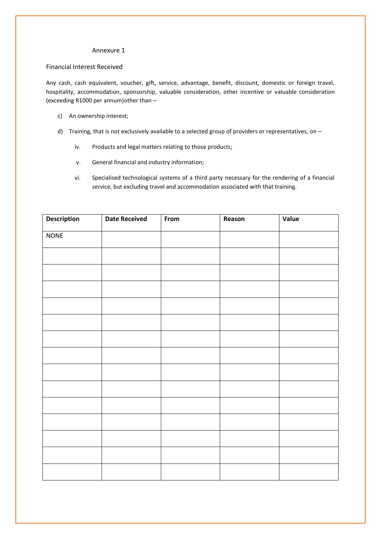#### Annexure 1

#### Financial Interest Received

Any cash, cash equivalent, voucher, gift, service, advantage, benefit, discount, domestic or foreign travel, hospitality, accommodation, sponsorship, valuable consideration, other incentive or valuable consideration (exceeding R1000 per annum)other than –

- c) An ownership interest;
- d) Training, that is not exclusively available to a selected group of providers or representatives, on
	- iv. Products and legal matters relating to those products;
	- v. General financial and industry information;
	- vi. Specialised technological systems of a third party necessary for the rendering of a financial service, but excluding travel and accommodation associated with that training.

| <b>Description</b> | <b>Date Received</b> | From | Reason | Value |
|--------------------|----------------------|------|--------|-------|
| <b>NONE</b>        |                      |      |        |       |
|                    |                      |      |        |       |
|                    |                      |      |        |       |
|                    |                      |      |        |       |
|                    |                      |      |        |       |
|                    |                      |      |        |       |
|                    |                      |      |        |       |
|                    |                      |      |        |       |
|                    |                      |      |        |       |
|                    |                      |      |        |       |
|                    |                      |      |        |       |
|                    |                      |      |        |       |
|                    |                      |      |        |       |
|                    |                      |      |        |       |
|                    |                      |      |        |       |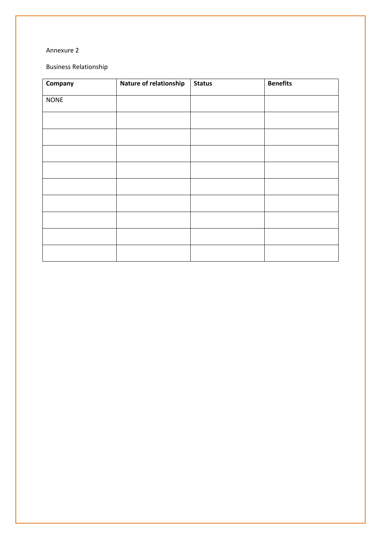#### Annexure 2

Business Relationship

| Company     | Nature of relationship | <b>Status</b> | <b>Benefits</b> |
|-------------|------------------------|---------------|-----------------|
| <b>NONE</b> |                        |               |                 |
|             |                        |               |                 |
|             |                        |               |                 |
|             |                        |               |                 |
|             |                        |               |                 |
|             |                        |               |                 |
|             |                        |               |                 |
|             |                        |               |                 |
|             |                        |               |                 |
|             |                        |               |                 |